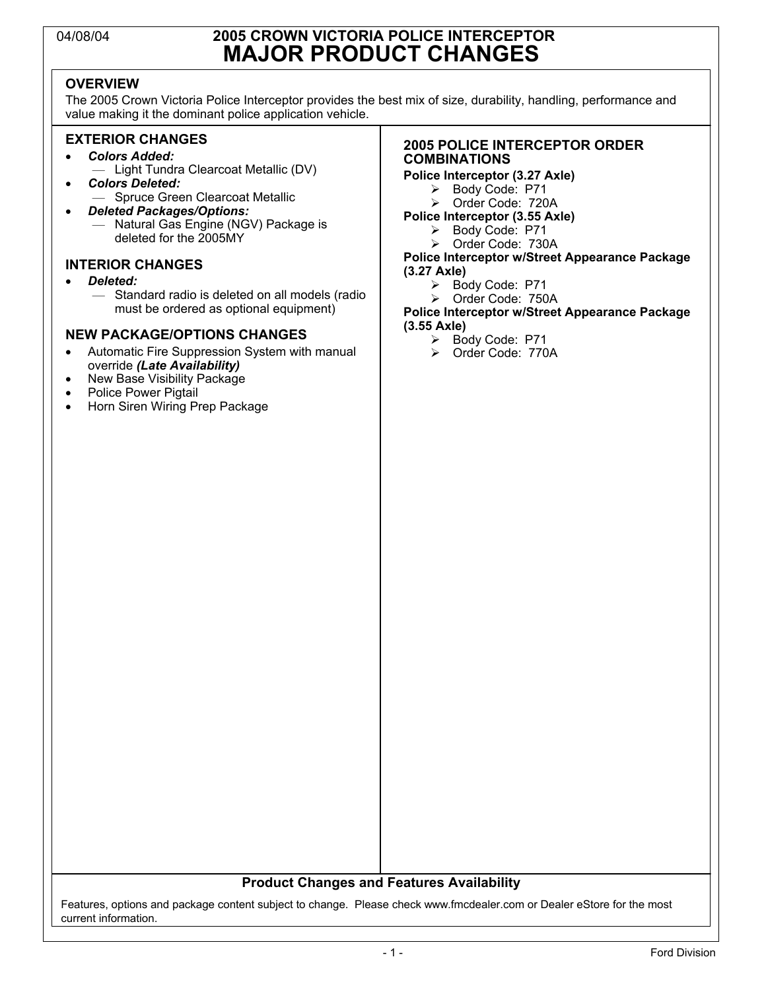### 04/08/04 **2005 CROWN VICTORIA POLICE INTERCEPTOR MAJOR PRODUCT CHANGES**

### **OVERVIEW**

The 2005 Crown Victoria Police Interceptor provides the best mix of size, durability, handling, performance and value making it the dominant police application vehicle.

#### **EXTERIOR CHANGES**

- *Colors Added:*
	- Light Tundra Clearcoat Metallic (DV)
- *Colors Deleted:*
- Spruce Green Clearcoat Metallic • *Deleted Packages/Options:* — Natural Gas Engine (NGV) Package is deleted for the 2005MY

#### **INTERIOR CHANGES**

- *Deleted:*
	- Standard radio is deleted on all models (radio must be ordered as optional equipment)

#### **NEW PACKAGE/OPTIONS CHANGES**

- Automatic Fire Suppression System with manual override *(Late Availability)*
- New Base Visibility Package
- Police Power Pigtail<br>• Horn Siren Wiring Pi
- Horn Siren Wiring Prep Package

#### **2005 POLICE INTERCEPTOR ORDER COMBINATIONS**

#### **Police Interceptor (3.27 Axle)**

- ¾ Body Code: P71
- ¾ Order Code: 720A
- **Police Interceptor (3.55 Axle)**
	- ¾ Body Code: P71
	- Order Code: 730A

#### **Police Interceptor w/Street Appearance Package (3.27 Axle)**

- ¾ Body Code: P71
- ¾ Order Code: 750A

#### **Police Interceptor w/Street Appearance Package (3.55 Axle)**

- ¾ Body Code: P71
- ¾ Order Code: 770A

#### **Product Changes and Features Availability**

Features, options and package content subject to change. Please check www.fmcdealer.com or Dealer eStore for the most current information.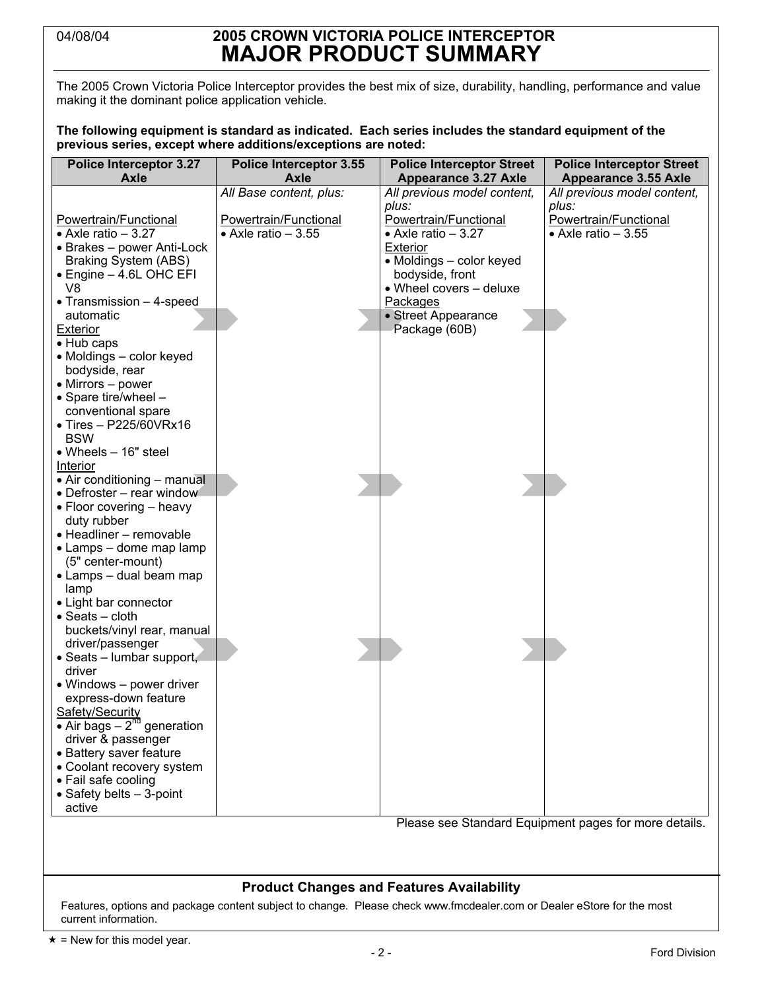### 04/08/04 **2005 CROWN VICTORIA POLICE INTERCEPTOR MAJOR PRODUCT SUMMARY**

The 2005 Crown Victoria Police Interceptor provides the best mix of size, durability, handling, performance and value making it the dominant police application vehicle.

**The following equipment is standard as indicated. Each series includes the standard equipment of the previous series, except where additions/exceptions are noted:**

| <b>Police Interceptor 3.27</b>                  | <b>Police Interceptor 3.55</b> | <b>Police Interceptor Street</b> | <b>Police Interceptor Street</b>                      |
|-------------------------------------------------|--------------------------------|----------------------------------|-------------------------------------------------------|
| Axle                                            | Axle                           | <b>Appearance 3.27 Axle</b>      | <b>Appearance 3.55 Axle</b>                           |
|                                                 | All Base content, plus:        | All previous model content,      | All previous model content,                           |
|                                                 |                                | plus:                            | plus:                                                 |
| Powertrain/Functional                           | Powertrain/Functional          | Powertrain/Functional            | Powertrain/Functional                                 |
| $\bullet$ Axle ratio - 3.27                     | $\bullet$ Axle ratio $-3.55$   | $\bullet$ Axle ratio - 3.27      | $\bullet$ Axle ratio - 3.55                           |
| • Brakes - power Anti-Lock                      |                                | <b>Exterior</b>                  |                                                       |
| <b>Braking System (ABS)</b>                     |                                | • Moldings - color keyed         |                                                       |
| • Engine - 4.6L OHC EFI                         |                                | bodyside, front                  |                                                       |
| V8                                              |                                | • Wheel covers - deluxe          |                                                       |
| • Transmission - 4-speed                        |                                | Packages                         |                                                       |
| automatic                                       |                                | • Street Appearance              |                                                       |
| <b>Exterior</b>                                 |                                | Package (60B)                    |                                                       |
| • Hub caps                                      |                                |                                  |                                                       |
| • Moldings - color keyed                        |                                |                                  |                                                       |
| bodyside, rear                                  |                                |                                  |                                                       |
| • Mirrors - power                               |                                |                                  |                                                       |
| • Spare tire/wheel -                            |                                |                                  |                                                       |
| conventional spare                              |                                |                                  |                                                       |
| $\bullet$ Tires - P225/60VRx16                  |                                |                                  |                                                       |
| <b>BSW</b>                                      |                                |                                  |                                                       |
| $\bullet$ Wheels $-$ 16" steel                  |                                |                                  |                                                       |
| Interior                                        |                                |                                  |                                                       |
| • Air conditioning - manual                     |                                |                                  |                                                       |
| • Defroster - rear window                       |                                |                                  |                                                       |
| • Floor covering - heavy                        |                                |                                  |                                                       |
| duty rubber                                     |                                |                                  |                                                       |
| • Headliner - removable                         |                                |                                  |                                                       |
| • Lamps - dome map lamp                         |                                |                                  |                                                       |
| (5" center-mount)                               |                                |                                  |                                                       |
| • Lamps – dual beam map                         |                                |                                  |                                                       |
| lamp                                            |                                |                                  |                                                       |
| • Light bar connector                           |                                |                                  |                                                       |
| $\bullet$ Seats – cloth                         |                                |                                  |                                                       |
| buckets/vinyl rear, manual                      |                                |                                  |                                                       |
| driver/passenger                                |                                |                                  |                                                       |
| • Seats - lumbar support,                       |                                |                                  |                                                       |
| driver                                          |                                |                                  |                                                       |
| • Windows - power driver                        |                                |                                  |                                                       |
| express-down feature                            |                                |                                  |                                                       |
| Safety/Security                                 |                                |                                  |                                                       |
| $\bullet$ Air bags - 2 <sup>nd</sup> generation |                                |                                  |                                                       |
| driver & passenger                              |                                |                                  |                                                       |
| • Battery saver feature                         |                                |                                  |                                                       |
| • Coolant recovery system                       |                                |                                  |                                                       |
| • Fail safe cooling                             |                                |                                  |                                                       |
| • Safety belts - 3-point                        |                                |                                  |                                                       |
| active                                          |                                |                                  |                                                       |
|                                                 |                                |                                  | Please see Standard Equipment pages for more details. |
|                                                 |                                |                                  |                                                       |

#### **Product Changes and Features Availability**

Features, options and package content subject to change. Please check www.fmcdealer.com or Dealer eStore for the most current information.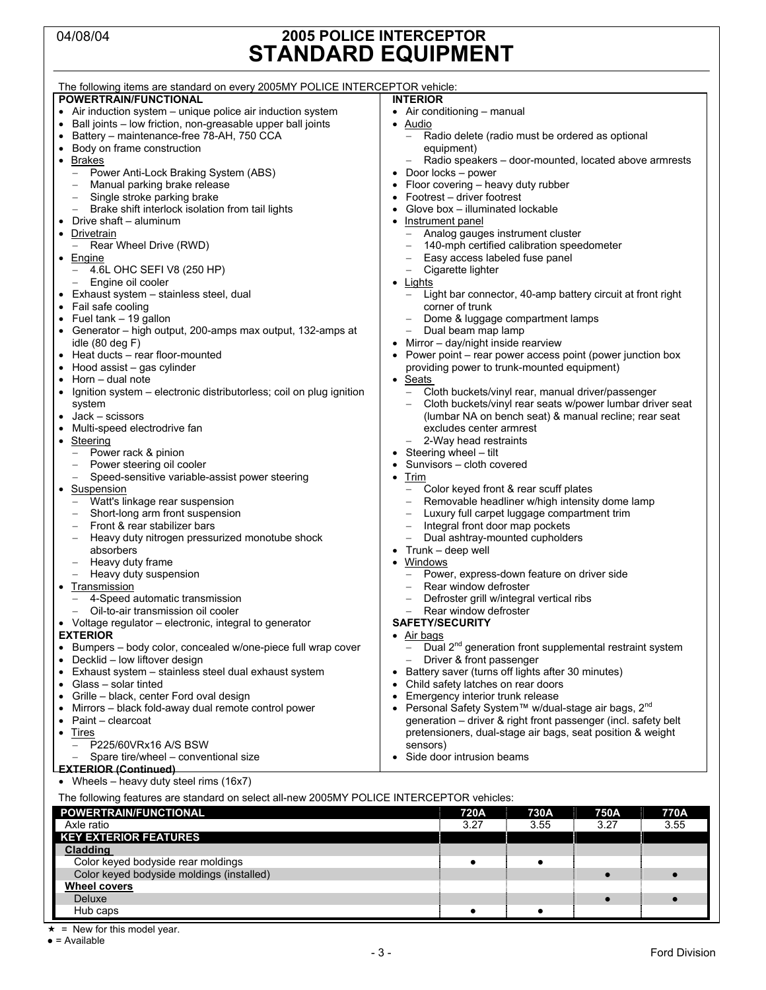### 04/08/04 **2005 POLICE INTERCEPTOR STANDARD EQUIPMENT**

| The following items are standard on every 2005MY POLICE INTERCEPTOR vehicle:              |                                                                                      |  |
|-------------------------------------------------------------------------------------------|--------------------------------------------------------------------------------------|--|
| POWERTRAIN/FUNCTIONAL                                                                     | <b>INTERIOR</b>                                                                      |  |
| • Air induction system - unique police air induction system                               | • Air conditioning $-$ manual                                                        |  |
| • Ball joints - low friction, non-greasable upper ball joints                             | • Audio                                                                              |  |
| Battery - maintenance-free 78-AH, 750 CCA                                                 | Radio delete (radio must be ordered as optional                                      |  |
| Body on frame construction                                                                | equipment)                                                                           |  |
| • Brakes                                                                                  | Radio speakers - door-mounted, located above armrests<br>-                           |  |
| Power Anti-Lock Braking System (ABS)<br>$\overline{\phantom{m}}$                          | Door locks - power                                                                   |  |
| Manual parking brake release<br>$\overline{\phantom{0}}$                                  | Floor covering - heavy duty rubber<br>$\bullet$                                      |  |
| Single stroke parking brake                                                               | Footrest – driver footrest                                                           |  |
| Brake shift interlock isolation from tail lights                                          | Glove box - illuminated lockable<br>$\bullet$                                        |  |
| Drive shaft - aluminum                                                                    | Instrument panel                                                                     |  |
| Drivetrain                                                                                | Analog gauges instrument cluster                                                     |  |
| Rear Wheel Drive (RWD)                                                                    | 140-mph certified calibration speedometer                                            |  |
| • Engine                                                                                  | Easy access labeled fuse panel                                                       |  |
| 4.6L OHC SEFI V8 (250 HP)<br>$\overline{\phantom{a}}$                                     | - Cigarette lighter                                                                  |  |
|                                                                                           |                                                                                      |  |
| Engine oil cooler<br>$\overline{\phantom{m}}$                                             | Lights                                                                               |  |
| • Exhaust system - stainless steel, dual<br>• Fail safe cooling                           | Light bar connector, 40-amp battery circuit at front right<br>$-$<br>corner of trunk |  |
|                                                                                           |                                                                                      |  |
| • Fuel $tanh - 19$ gallon                                                                 | Dome & luggage compartment lamps                                                     |  |
| • Generator – high output, 200-amps max output, 132-amps at                               | Dual beam map lamp<br>$-$                                                            |  |
| idle $(80$ deg $F)$                                                                       | Mirror - day/night inside rearview                                                   |  |
| • Heat ducts - rear floor-mounted                                                         | Power point – rear power access point (power junction box                            |  |
| Hood assist - gas cylinder                                                                | providing power to trunk-mounted equipment)                                          |  |
| Horn - dual note<br>$\bullet$                                                             | • Seats                                                                              |  |
| Ignition system – electronic distributorless; coil on plug ignition                       | Cloth buckets/vinyl rear, manual driver/passenger                                    |  |
| system                                                                                    | Cloth buckets/vinyl rear seats w/power lumbar driver seat                            |  |
| Jack – scissors                                                                           | (lumbar NA on bench seat) & manual recline; rear seat                                |  |
| Multi-speed electrodrive fan                                                              | excludes center armrest                                                              |  |
| • Steering                                                                                | 2-Way head restraints                                                                |  |
| Power rack & pinion                                                                       | Steering wheel - tilt                                                                |  |
| Power steering oil cooler                                                                 | Sunvisors - cloth covered                                                            |  |
| Speed-sensitive variable-assist power steering<br>$\overline{\phantom{0}}$                | Trim<br>$\bullet$                                                                    |  |
| Suspension                                                                                | Color keyed front & rear scuff plates                                                |  |
| Watt's linkage rear suspension                                                            | Removable headliner w/high intensity dome lamp                                       |  |
| Short-long arm front suspension                                                           | Luxury full carpet luggage compartment trim                                          |  |
| Front & rear stabilizer bars<br>$\qquad \qquad -$                                         | Integral front door map pockets                                                      |  |
| Heavy duty nitrogen pressurized monotube shock<br>$\overline{\phantom{m}}$                | Dual ashtray-mounted cupholders<br>-                                                 |  |
| absorbers                                                                                 | Trunk – deep well                                                                    |  |
| Heavy duty frame                                                                          | <b>Windows</b><br>$\bullet$                                                          |  |
| Heavy duty suspension<br>$\hspace{1.0cm} - \hspace{1.0cm}$                                | Power, express-down feature on driver side                                           |  |
| • Transmission                                                                            | Rear window defroster                                                                |  |
| 4-Speed automatic transmission                                                            | Defroster grill w/integral vertical ribs                                             |  |
| Oil-to-air transmission oil cooler                                                        | Rear window defroster                                                                |  |
| • Voltage regulator – electronic, integral to generator                                   | <b>SAFETY/SECURITY</b>                                                               |  |
| <b>EXTERIOR</b>                                                                           | $\bullet$ Air bags                                                                   |  |
| • Bumpers - body color, concealed w/one-piece full wrap cover                             | Dual 2 <sup>nd</sup> generation front supplemental restraint system                  |  |
| Decklid - low liftover design                                                             | Driver & front passenger                                                             |  |
| • Exhaust system - stainless steel dual exhaust system                                    | Battery saver (turns off lights after 30 minutes)                                    |  |
| Glass - solar tinted                                                                      | Child safety latches on rear doors                                                   |  |
| Grille - black, center Ford oval design<br>Emergency interior trunk release<br>$\bullet$  |                                                                                      |  |
| Mirrors – black fold-away dual remote control power                                       | Personal Safety System™ w/dual-stage air bags, 2 <sup>nd</sup>                       |  |
| Paint - clearcoat                                                                         | generation - driver & right front passenger (incl. safety belt                       |  |
| • Tires                                                                                   | pretensioners, dual-stage air bags, seat position & weight                           |  |
| P225/60VRx16 A/S BSW                                                                      | sensors)                                                                             |  |
| Spare tire/wheel – conventional size                                                      | Side door intrusion beams                                                            |  |
| <b>EXTERIOR (Continued)</b>                                                               |                                                                                      |  |
| • Wheels – heavy duty steel rims $(16x7)$                                                 |                                                                                      |  |
| The following features are standard on select all-new 2005MY POLICE INTERCEPTOR vehicles: |                                                                                      |  |
| POWERTRAIN/FUNCTIONAL                                                                     | 720A<br>730A<br>750A<br>770A                                                         |  |
| Axle ratio                                                                                | 3.55<br>3.27<br>3.27<br>3.55                                                         |  |
| <b>KEY EXTERIOR FEATURES</b>                                                              |                                                                                      |  |

 $\star$  = New for this model year.

 $\bullet$  = Available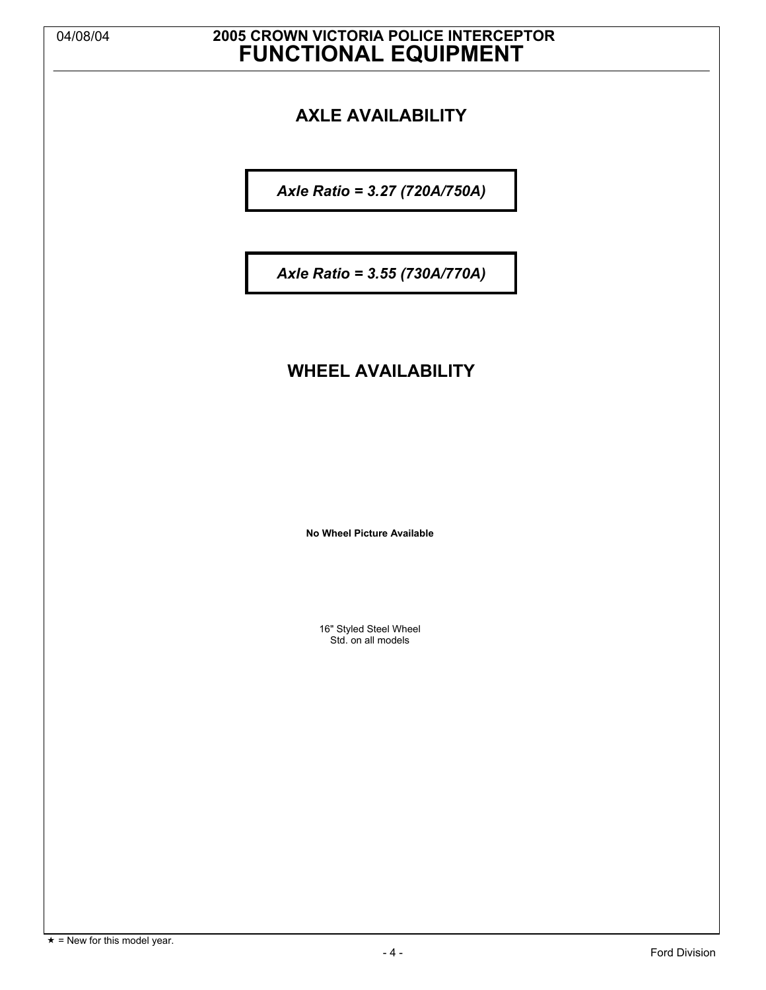# 04/08/04 **2005 CROWN VICTORIA POLICE INTERCEPTOR FUNCTIONAL EQUIPMENT**

## **AXLE AVAILABILITY**

*Axle Ratio = 3.27 (720A/750A)*

*Axle Ratio = 3.55 (730A/770A)*

### **WHEEL AVAILABILITY**

**No Wheel Picture Available**

16" Styled Steel Wheel Std. on all models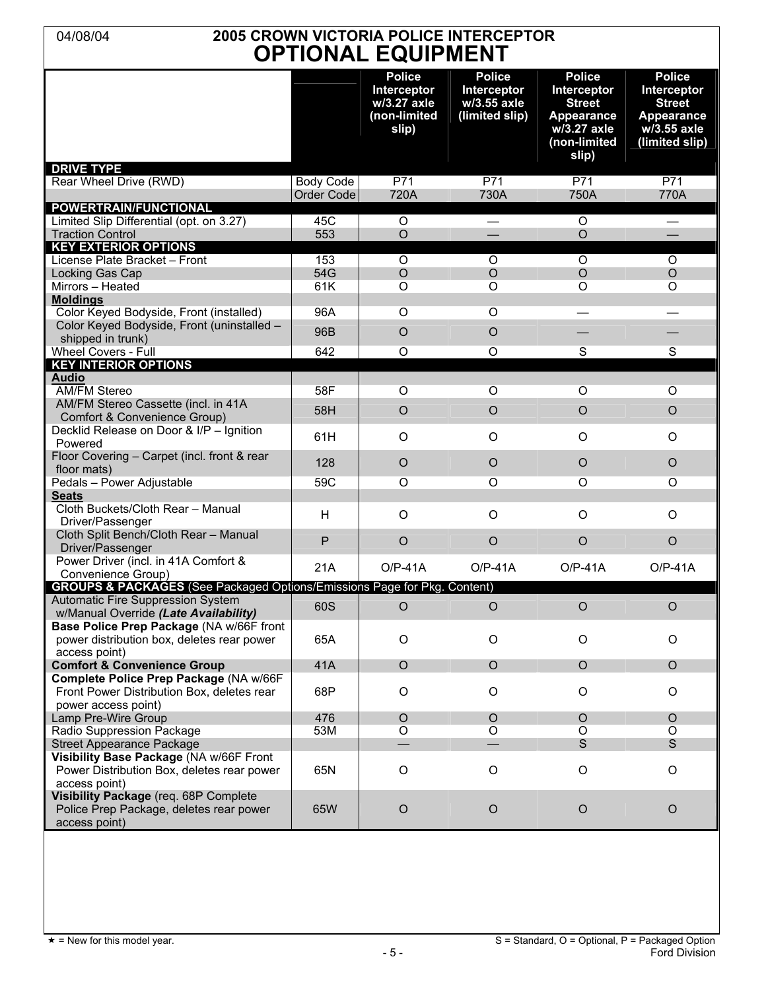### 04/08/04 **2005 CROWN VICTORIA POLICE INTERCEPTOR OPTIONAL EQUIPMENT**

| <b>Police</b><br>Interceptor<br><b>Street</b><br><b>Appearance</b><br>w/3.55 axle<br>(limited slip)<br>P71<br>770A<br>O<br>$\circ$<br>O |
|-----------------------------------------------------------------------------------------------------------------------------------------|
|                                                                                                                                         |
|                                                                                                                                         |
|                                                                                                                                         |
|                                                                                                                                         |
|                                                                                                                                         |
|                                                                                                                                         |
|                                                                                                                                         |
|                                                                                                                                         |
|                                                                                                                                         |
|                                                                                                                                         |
|                                                                                                                                         |
|                                                                                                                                         |
|                                                                                                                                         |
|                                                                                                                                         |
| $\overline{\mathbf{s}}$                                                                                                                 |
|                                                                                                                                         |
|                                                                                                                                         |
| O                                                                                                                                       |
| $\circ$                                                                                                                                 |
|                                                                                                                                         |
| O                                                                                                                                       |
|                                                                                                                                         |
| $\circ$                                                                                                                                 |
| O                                                                                                                                       |
| $\circ$                                                                                                                                 |
| $\bigcirc$                                                                                                                              |
|                                                                                                                                         |
| $O/P-41A$                                                                                                                               |
|                                                                                                                                         |
| $\circ$                                                                                                                                 |
| O                                                                                                                                       |
| $\circ$                                                                                                                                 |
| O                                                                                                                                       |
|                                                                                                                                         |
| $\circ$                                                                                                                                 |
| O                                                                                                                                       |
| $\mathsf S$                                                                                                                             |
| O                                                                                                                                       |
| $\circ$                                                                                                                                 |
|                                                                                                                                         |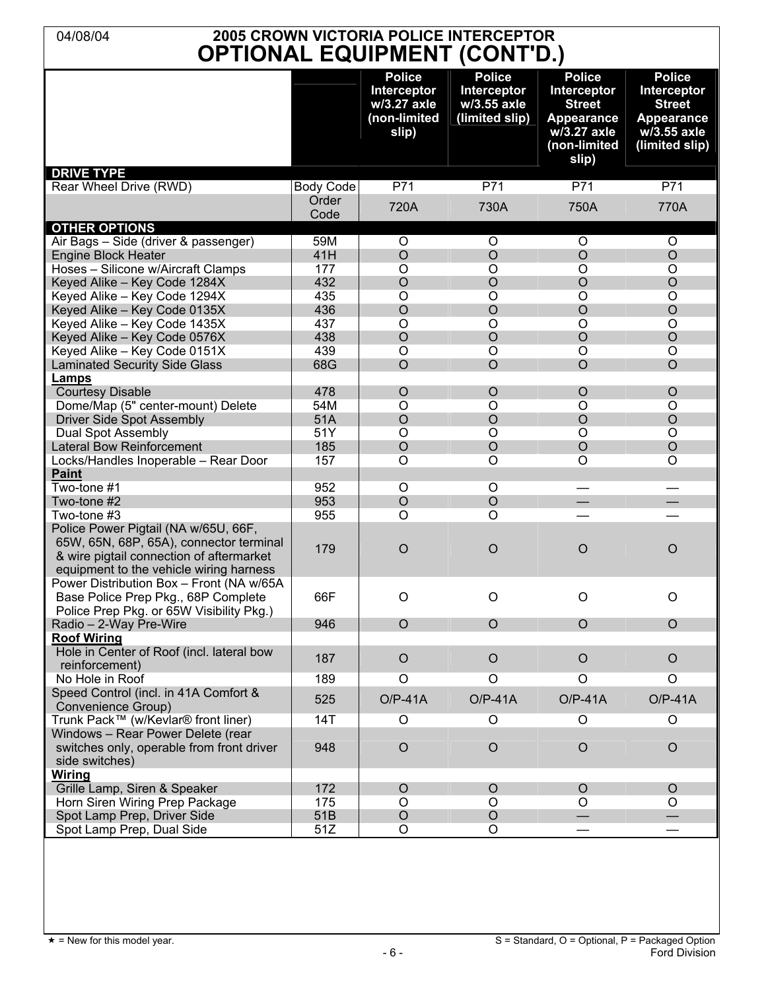| <b>2005 CROWN VICTORIA POLICE INTERCEPTOR</b><br>04/08/04<br><b>OPTIONAL EQUIPMENT (CONT'D.)</b>                                                                       |                  |                                                                      |                                                                      |                                                                                                                   |                                                                                                     |
|------------------------------------------------------------------------------------------------------------------------------------------------------------------------|------------------|----------------------------------------------------------------------|----------------------------------------------------------------------|-------------------------------------------------------------------------------------------------------------------|-----------------------------------------------------------------------------------------------------|
| <b>DRIVE TYPE</b>                                                                                                                                                      |                  | <b>Police</b><br>Interceptor<br>w/3.27 axle<br>(non-limited<br>slip) | <b>Police</b><br><b>Interceptor</b><br>w/3.55 axle<br>(limited slip) | <b>Police</b><br><b>Interceptor</b><br><b>Street</b><br><b>Appearance</b><br>w/3.27 axle<br>(non-limited<br>slip) | <b>Police</b><br>Interceptor<br><b>Street</b><br><b>Appearance</b><br>w/3.55 axle<br>(limited slip) |
| Rear Wheel Drive (RWD)                                                                                                                                                 | <b>Body Code</b> | P71                                                                  | P71                                                                  | P71                                                                                                               | P71                                                                                                 |
|                                                                                                                                                                        | Order<br>Code    | 720A                                                                 | 730A                                                                 | 750A                                                                                                              | 770A                                                                                                |
| <b>OTHER OPTIONS</b>                                                                                                                                                   |                  |                                                                      |                                                                      |                                                                                                                   |                                                                                                     |
| Air Bags - Side (driver & passenger)                                                                                                                                   | 59M              | $\circ$                                                              | $\circ$                                                              | $\circ$                                                                                                           | O                                                                                                   |
| <b>Engine Block Heater</b>                                                                                                                                             | 41H              | $\circ$                                                              | $\circ$                                                              | $\circ$                                                                                                           | $\circ$                                                                                             |
| Hoses - Silicone w/Aircraft Clamps                                                                                                                                     | 177              | $\circ$<br>$\circ$                                                   | $\circ$<br>$\circ$                                                   | $\circ$<br>$\circ$                                                                                                | O                                                                                                   |
| Keyed Alike - Key Code 1284X<br>Keyed Alike - Key Code 1294X                                                                                                           | 432<br>435       | O                                                                    | $\circ$                                                              | $\circ$                                                                                                           | $\circ$<br>O                                                                                        |
| Keyed Alike - Key Code 0135X                                                                                                                                           | 436              | $\circ$                                                              | $\circ$                                                              | $\circ$                                                                                                           | $\circ$                                                                                             |
| Keyed Alike - Key Code 1435X                                                                                                                                           | 437              | O                                                                    | $\circ$                                                              | $\circ$                                                                                                           | $\circ$                                                                                             |
| Keyed Alike - Key Code 0576X                                                                                                                                           | 438              | $\circ$                                                              | $\circ$                                                              | $\circ$                                                                                                           | $\circ$                                                                                             |
| Keyed Alike - Key Code 0151X                                                                                                                                           | 439              | $\circ$                                                              | $\circ$                                                              | $\circ$                                                                                                           | O                                                                                                   |
| <b>Laminated Security Side Glass</b>                                                                                                                                   | 68G              | $\circ$                                                              | $\circ$                                                              | $\circ$                                                                                                           | $\circ$                                                                                             |
| Lamps                                                                                                                                                                  |                  |                                                                      |                                                                      |                                                                                                                   |                                                                                                     |
| <b>Courtesy Disable</b>                                                                                                                                                | 478              | $\circ$                                                              | $\circ$                                                              | $\circ$                                                                                                           | $\circ$                                                                                             |
| Dome/Map (5" center-mount) Delete                                                                                                                                      | 54M              | $\circ$                                                              | O                                                                    | O                                                                                                                 | O                                                                                                   |
| <b>Driver Side Spot Assembly</b>                                                                                                                                       | 51A              | $\circ$                                                              | $\circ$                                                              | $\circ$                                                                                                           | $\circ$                                                                                             |
| <b>Dual Spot Assembly</b>                                                                                                                                              | 51Y              | $\circ$                                                              | $\circ$                                                              | $\circ$                                                                                                           | O                                                                                                   |
| Lateral Bow Reinforcement                                                                                                                                              | 185              | $\circ$                                                              | $\circ$                                                              | $\circ$                                                                                                           | O                                                                                                   |
| Locks/Handles Inoperable - Rear Door                                                                                                                                   | 157              | O                                                                    | O                                                                    | O                                                                                                                 | O                                                                                                   |
| Paint<br>Two-tone #1                                                                                                                                                   | 952              | O                                                                    | O                                                                    |                                                                                                                   |                                                                                                     |
| Two-tone #2                                                                                                                                                            | 953              | $\circ$                                                              | $\circ$                                                              |                                                                                                                   |                                                                                                     |
| Two-tone #3                                                                                                                                                            | 955              | O                                                                    | $\circ$                                                              |                                                                                                                   |                                                                                                     |
| Police Power Pigtail (NA w/65U, 66F,<br>65W, 65N, 68P, 65A), connector terminal<br>& wire pigtail connection of aftermarket<br>equipment to the vehicle wiring harness | 179              | $\circ$                                                              | $\circ$                                                              | $\circ$                                                                                                           | $\circ$                                                                                             |
| Power Distribution Box - Front (NA w/65A<br>Base Police Prep Pkg., 68P Complete<br>Police Prep Pkg. or 65W Visibility Pkg.)                                            | 66F              | O                                                                    | $\circ$                                                              | $\circ$                                                                                                           | $\circ$                                                                                             |
| Radio - 2-Way Pre-Wire                                                                                                                                                 | 946              | $\circ$                                                              | $\circ$                                                              | $\circ$                                                                                                           | $\circ$                                                                                             |
| <b>Roof Wiring</b>                                                                                                                                                     |                  |                                                                      |                                                                      |                                                                                                                   |                                                                                                     |
| Hole in Center of Roof (incl. lateral bow<br>reinforcement)                                                                                                            | 187              | $\circ$                                                              | $\circ$                                                              | $\circ$                                                                                                           | $\circ$                                                                                             |
| No Hole in Roof                                                                                                                                                        | 189              | O                                                                    | O                                                                    | O                                                                                                                 | O                                                                                                   |
| Speed Control (incl. in 41A Comfort &                                                                                                                                  | 525              | $O/P-41A$                                                            | $O/P-41A$                                                            | $O/P-41A$                                                                                                         | $O/P-41A$                                                                                           |
| Convenience Group)                                                                                                                                                     |                  |                                                                      |                                                                      |                                                                                                                   |                                                                                                     |
| Trunk Pack™ (w/Kevlar® front liner)                                                                                                                                    | 14T              | O                                                                    | O                                                                    | O                                                                                                                 | O                                                                                                   |
| Windows - Rear Power Delete (rear<br>switches only, operable from front driver<br>side switches)                                                                       | 948              | $\circ$                                                              | $\circ$                                                              | $\circ$                                                                                                           | $\circ$                                                                                             |
| <b>Wiring</b>                                                                                                                                                          |                  |                                                                      |                                                                      |                                                                                                                   |                                                                                                     |
| Grille Lamp, Siren & Speaker                                                                                                                                           | 172              | $\circ$                                                              | $\circ$                                                              | $\circ$                                                                                                           | $\circ$                                                                                             |
| Horn Siren Wiring Prep Package<br>Spot Lamp Prep, Driver Side                                                                                                          | 175<br>51B       | O<br>$\bigcirc$                                                      | O<br>$\bigcirc$                                                      | O                                                                                                                 | O                                                                                                   |
| Spot Lamp Prep, Dual Side                                                                                                                                              | 51Z              | O                                                                    | O                                                                    |                                                                                                                   |                                                                                                     |
|                                                                                                                                                                        |                  |                                                                      |                                                                      |                                                                                                                   |                                                                                                     |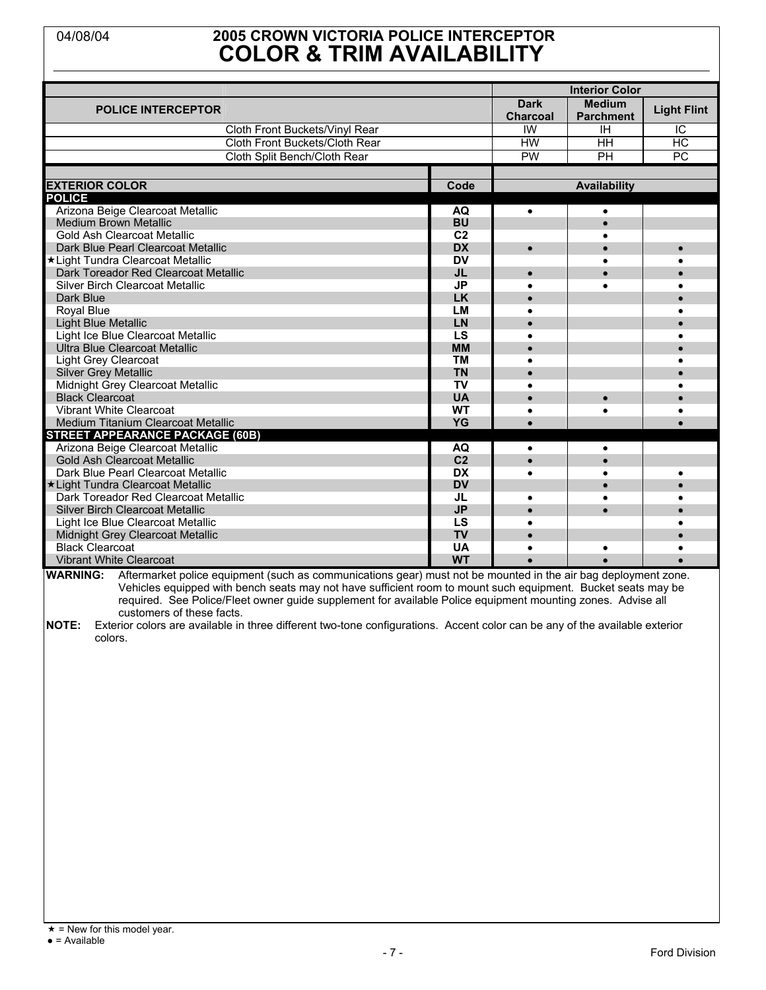### 04/08/04 **2005 CROWN VICTORIA POLICE INTERCEPTOR COLOR & TRIM AVAILABILITY**

| <b>Dark</b><br><b>Medium</b><br><b>POLICE INTERCEPTOR</b><br><b>Light Flint</b><br><b>Charcoal</b><br><b>Parchment</b><br>IW<br>Cloth Front Buckets/Vinyl Rear<br>IC<br>ΙH<br>Cloth Front Buckets/Cloth Rear<br><b>HW</b><br>HC<br>HH<br><b>PW</b><br>PC.<br>Cloth Split Bench/Cloth Rear<br>PH<br><b>EXTERIOR COLOR</b><br>Code<br><b>Availability</b><br>Arizona Beige Clearcoat Metallic<br>AQ<br>$\bullet$<br>$\bullet$<br><b>Medium Brown Metallic</b><br><b>BU</b><br>C <sub>2</sub><br>Gold Ash Clearcoat Metallic<br><b>DX</b><br>Dark Blue Pearl Clearcoat Metallic<br>$\bullet$<br>$\bullet$<br><b>DV</b><br>*Light Tundra Clearcoat Metallic<br>Dark Toreador Red Clearcoat Metallic<br><b>JL</b><br>Silver Birch Clearcoat Metallic<br><b>JP</b><br>Dark Blue<br><b>LK</b><br><b>LM</b><br>Royal Blue<br><b>Light Blue Metallic</b><br>LN<br>Light Ice Blue Clearcoat Metallic<br>LS<br><b>Ultra Blue Clearcoat Metallic</b><br><b>MM</b><br><b>TM</b><br><b>Light Grey Clearcoat</b><br><b>Silver Grey Metallic</b><br><b>TN</b><br>Midnight Grey Clearcoat Metallic<br><b>TV</b><br><b>Black Clearcoat</b><br><b>UA</b><br><b>Vibrant White Clearcoat</b><br><b>WT</b><br>٠<br>Medium Titanium Clearcoat Metallic<br>YG<br>$\bullet$<br><b>STREET APPEARANCE PACKAGE (60B)</b><br>Arizona Beige Clearcoat Metallic<br><b>AQ</b><br>۰<br>C <sub>2</sub><br><b>Gold Ash Clearcoat Metallic</b><br>Dark Blue Pearl Clearcoat Metallic<br><b>DX</b><br><b>DV</b><br>*Light Tundra Clearcoat Metallic<br>Dark Toreador Red Clearcoat Metallic<br>JL<br><b>JP</b><br><b>Silver Birch Clearcoat Metallic</b><br>Light Ice Blue Clearcoat Metallic<br>LS<br><b>TV</b><br>Midnight Grey Clearcoat Metallic<br><b>Black Clearcoat</b><br><b>UA</b><br><b>Vibrant White Clearcoat</b><br><b>WT</b><br>$\overline{\phantom{a}}$ |               |  |                       |  |  |
|-----------------------------------------------------------------------------------------------------------------------------------------------------------------------------------------------------------------------------------------------------------------------------------------------------------------------------------------------------------------------------------------------------------------------------------------------------------------------------------------------------------------------------------------------------------------------------------------------------------------------------------------------------------------------------------------------------------------------------------------------------------------------------------------------------------------------------------------------------------------------------------------------------------------------------------------------------------------------------------------------------------------------------------------------------------------------------------------------------------------------------------------------------------------------------------------------------------------------------------------------------------------------------------------------------------------------------------------------------------------------------------------------------------------------------------------------------------------------------------------------------------------------------------------------------------------------------------------------------------------------------------------------------------------------------------------------------------------------------------------------------------------------------------------------------------------------------------|---------------|--|-----------------------|--|--|
|                                                                                                                                                                                                                                                                                                                                                                                                                                                                                                                                                                                                                                                                                                                                                                                                                                                                                                                                                                                                                                                                                                                                                                                                                                                                                                                                                                                                                                                                                                                                                                                                                                                                                                                                                                                                                                   |               |  | <b>Interior Color</b> |  |  |
|                                                                                                                                                                                                                                                                                                                                                                                                                                                                                                                                                                                                                                                                                                                                                                                                                                                                                                                                                                                                                                                                                                                                                                                                                                                                                                                                                                                                                                                                                                                                                                                                                                                                                                                                                                                                                                   |               |  |                       |  |  |
|                                                                                                                                                                                                                                                                                                                                                                                                                                                                                                                                                                                                                                                                                                                                                                                                                                                                                                                                                                                                                                                                                                                                                                                                                                                                                                                                                                                                                                                                                                                                                                                                                                                                                                                                                                                                                                   |               |  |                       |  |  |
|                                                                                                                                                                                                                                                                                                                                                                                                                                                                                                                                                                                                                                                                                                                                                                                                                                                                                                                                                                                                                                                                                                                                                                                                                                                                                                                                                                                                                                                                                                                                                                                                                                                                                                                                                                                                                                   |               |  |                       |  |  |
|                                                                                                                                                                                                                                                                                                                                                                                                                                                                                                                                                                                                                                                                                                                                                                                                                                                                                                                                                                                                                                                                                                                                                                                                                                                                                                                                                                                                                                                                                                                                                                                                                                                                                                                                                                                                                                   |               |  |                       |  |  |
|                                                                                                                                                                                                                                                                                                                                                                                                                                                                                                                                                                                                                                                                                                                                                                                                                                                                                                                                                                                                                                                                                                                                                                                                                                                                                                                                                                                                                                                                                                                                                                                                                                                                                                                                                                                                                                   |               |  |                       |  |  |
|                                                                                                                                                                                                                                                                                                                                                                                                                                                                                                                                                                                                                                                                                                                                                                                                                                                                                                                                                                                                                                                                                                                                                                                                                                                                                                                                                                                                                                                                                                                                                                                                                                                                                                                                                                                                                                   |               |  |                       |  |  |
|                                                                                                                                                                                                                                                                                                                                                                                                                                                                                                                                                                                                                                                                                                                                                                                                                                                                                                                                                                                                                                                                                                                                                                                                                                                                                                                                                                                                                                                                                                                                                                                                                                                                                                                                                                                                                                   |               |  |                       |  |  |
|                                                                                                                                                                                                                                                                                                                                                                                                                                                                                                                                                                                                                                                                                                                                                                                                                                                                                                                                                                                                                                                                                                                                                                                                                                                                                                                                                                                                                                                                                                                                                                                                                                                                                                                                                                                                                                   | <b>POLICE</b> |  |                       |  |  |
|                                                                                                                                                                                                                                                                                                                                                                                                                                                                                                                                                                                                                                                                                                                                                                                                                                                                                                                                                                                                                                                                                                                                                                                                                                                                                                                                                                                                                                                                                                                                                                                                                                                                                                                                                                                                                                   |               |  |                       |  |  |
|                                                                                                                                                                                                                                                                                                                                                                                                                                                                                                                                                                                                                                                                                                                                                                                                                                                                                                                                                                                                                                                                                                                                                                                                                                                                                                                                                                                                                                                                                                                                                                                                                                                                                                                                                                                                                                   |               |  |                       |  |  |
|                                                                                                                                                                                                                                                                                                                                                                                                                                                                                                                                                                                                                                                                                                                                                                                                                                                                                                                                                                                                                                                                                                                                                                                                                                                                                                                                                                                                                                                                                                                                                                                                                                                                                                                                                                                                                                   |               |  |                       |  |  |
|                                                                                                                                                                                                                                                                                                                                                                                                                                                                                                                                                                                                                                                                                                                                                                                                                                                                                                                                                                                                                                                                                                                                                                                                                                                                                                                                                                                                                                                                                                                                                                                                                                                                                                                                                                                                                                   |               |  |                       |  |  |
|                                                                                                                                                                                                                                                                                                                                                                                                                                                                                                                                                                                                                                                                                                                                                                                                                                                                                                                                                                                                                                                                                                                                                                                                                                                                                                                                                                                                                                                                                                                                                                                                                                                                                                                                                                                                                                   |               |  |                       |  |  |
|                                                                                                                                                                                                                                                                                                                                                                                                                                                                                                                                                                                                                                                                                                                                                                                                                                                                                                                                                                                                                                                                                                                                                                                                                                                                                                                                                                                                                                                                                                                                                                                                                                                                                                                                                                                                                                   |               |  |                       |  |  |
|                                                                                                                                                                                                                                                                                                                                                                                                                                                                                                                                                                                                                                                                                                                                                                                                                                                                                                                                                                                                                                                                                                                                                                                                                                                                                                                                                                                                                                                                                                                                                                                                                                                                                                                                                                                                                                   |               |  |                       |  |  |
|                                                                                                                                                                                                                                                                                                                                                                                                                                                                                                                                                                                                                                                                                                                                                                                                                                                                                                                                                                                                                                                                                                                                                                                                                                                                                                                                                                                                                                                                                                                                                                                                                                                                                                                                                                                                                                   |               |  |                       |  |  |
|                                                                                                                                                                                                                                                                                                                                                                                                                                                                                                                                                                                                                                                                                                                                                                                                                                                                                                                                                                                                                                                                                                                                                                                                                                                                                                                                                                                                                                                                                                                                                                                                                                                                                                                                                                                                                                   |               |  |                       |  |  |
|                                                                                                                                                                                                                                                                                                                                                                                                                                                                                                                                                                                                                                                                                                                                                                                                                                                                                                                                                                                                                                                                                                                                                                                                                                                                                                                                                                                                                                                                                                                                                                                                                                                                                                                                                                                                                                   |               |  |                       |  |  |
|                                                                                                                                                                                                                                                                                                                                                                                                                                                                                                                                                                                                                                                                                                                                                                                                                                                                                                                                                                                                                                                                                                                                                                                                                                                                                                                                                                                                                                                                                                                                                                                                                                                                                                                                                                                                                                   |               |  |                       |  |  |
|                                                                                                                                                                                                                                                                                                                                                                                                                                                                                                                                                                                                                                                                                                                                                                                                                                                                                                                                                                                                                                                                                                                                                                                                                                                                                                                                                                                                                                                                                                                                                                                                                                                                                                                                                                                                                                   |               |  |                       |  |  |
|                                                                                                                                                                                                                                                                                                                                                                                                                                                                                                                                                                                                                                                                                                                                                                                                                                                                                                                                                                                                                                                                                                                                                                                                                                                                                                                                                                                                                                                                                                                                                                                                                                                                                                                                                                                                                                   |               |  |                       |  |  |
|                                                                                                                                                                                                                                                                                                                                                                                                                                                                                                                                                                                                                                                                                                                                                                                                                                                                                                                                                                                                                                                                                                                                                                                                                                                                                                                                                                                                                                                                                                                                                                                                                                                                                                                                                                                                                                   |               |  |                       |  |  |
|                                                                                                                                                                                                                                                                                                                                                                                                                                                                                                                                                                                                                                                                                                                                                                                                                                                                                                                                                                                                                                                                                                                                                                                                                                                                                                                                                                                                                                                                                                                                                                                                                                                                                                                                                                                                                                   |               |  |                       |  |  |
|                                                                                                                                                                                                                                                                                                                                                                                                                                                                                                                                                                                                                                                                                                                                                                                                                                                                                                                                                                                                                                                                                                                                                                                                                                                                                                                                                                                                                                                                                                                                                                                                                                                                                                                                                                                                                                   |               |  |                       |  |  |
|                                                                                                                                                                                                                                                                                                                                                                                                                                                                                                                                                                                                                                                                                                                                                                                                                                                                                                                                                                                                                                                                                                                                                                                                                                                                                                                                                                                                                                                                                                                                                                                                                                                                                                                                                                                                                                   |               |  |                       |  |  |
|                                                                                                                                                                                                                                                                                                                                                                                                                                                                                                                                                                                                                                                                                                                                                                                                                                                                                                                                                                                                                                                                                                                                                                                                                                                                                                                                                                                                                                                                                                                                                                                                                                                                                                                                                                                                                                   |               |  |                       |  |  |
|                                                                                                                                                                                                                                                                                                                                                                                                                                                                                                                                                                                                                                                                                                                                                                                                                                                                                                                                                                                                                                                                                                                                                                                                                                                                                                                                                                                                                                                                                                                                                                                                                                                                                                                                                                                                                                   |               |  |                       |  |  |
|                                                                                                                                                                                                                                                                                                                                                                                                                                                                                                                                                                                                                                                                                                                                                                                                                                                                                                                                                                                                                                                                                                                                                                                                                                                                                                                                                                                                                                                                                                                                                                                                                                                                                                                                                                                                                                   |               |  |                       |  |  |
|                                                                                                                                                                                                                                                                                                                                                                                                                                                                                                                                                                                                                                                                                                                                                                                                                                                                                                                                                                                                                                                                                                                                                                                                                                                                                                                                                                                                                                                                                                                                                                                                                                                                                                                                                                                                                                   |               |  |                       |  |  |
|                                                                                                                                                                                                                                                                                                                                                                                                                                                                                                                                                                                                                                                                                                                                                                                                                                                                                                                                                                                                                                                                                                                                                                                                                                                                                                                                                                                                                                                                                                                                                                                                                                                                                                                                                                                                                                   |               |  |                       |  |  |
|                                                                                                                                                                                                                                                                                                                                                                                                                                                                                                                                                                                                                                                                                                                                                                                                                                                                                                                                                                                                                                                                                                                                                                                                                                                                                                                                                                                                                                                                                                                                                                                                                                                                                                                                                                                                                                   |               |  |                       |  |  |
|                                                                                                                                                                                                                                                                                                                                                                                                                                                                                                                                                                                                                                                                                                                                                                                                                                                                                                                                                                                                                                                                                                                                                                                                                                                                                                                                                                                                                                                                                                                                                                                                                                                                                                                                                                                                                                   |               |  |                       |  |  |
|                                                                                                                                                                                                                                                                                                                                                                                                                                                                                                                                                                                                                                                                                                                                                                                                                                                                                                                                                                                                                                                                                                                                                                                                                                                                                                                                                                                                                                                                                                                                                                                                                                                                                                                                                                                                                                   |               |  |                       |  |  |
|                                                                                                                                                                                                                                                                                                                                                                                                                                                                                                                                                                                                                                                                                                                                                                                                                                                                                                                                                                                                                                                                                                                                                                                                                                                                                                                                                                                                                                                                                                                                                                                                                                                                                                                                                                                                                                   |               |  |                       |  |  |
|                                                                                                                                                                                                                                                                                                                                                                                                                                                                                                                                                                                                                                                                                                                                                                                                                                                                                                                                                                                                                                                                                                                                                                                                                                                                                                                                                                                                                                                                                                                                                                                                                                                                                                                                                                                                                                   |               |  |                       |  |  |
|                                                                                                                                                                                                                                                                                                                                                                                                                                                                                                                                                                                                                                                                                                                                                                                                                                                                                                                                                                                                                                                                                                                                                                                                                                                                                                                                                                                                                                                                                                                                                                                                                                                                                                                                                                                                                                   |               |  |                       |  |  |
|                                                                                                                                                                                                                                                                                                                                                                                                                                                                                                                                                                                                                                                                                                                                                                                                                                                                                                                                                                                                                                                                                                                                                                                                                                                                                                                                                                                                                                                                                                                                                                                                                                                                                                                                                                                                                                   |               |  |                       |  |  |

**WARNING:** Aftermarket police equipment (such as communications gear) must not be mounted in the air bag deployment zone. Vehicles equipped with bench seats may not have sufficient room to mount such equipment. Bucket seats may be required. See Police/Fleet owner guide supplement for available Police equipment mounting zones. Advise all customers of these facts.

**NOTE:** Exterior colors are available in three different two-tone configurations. Accent color can be any of the available exterior colors.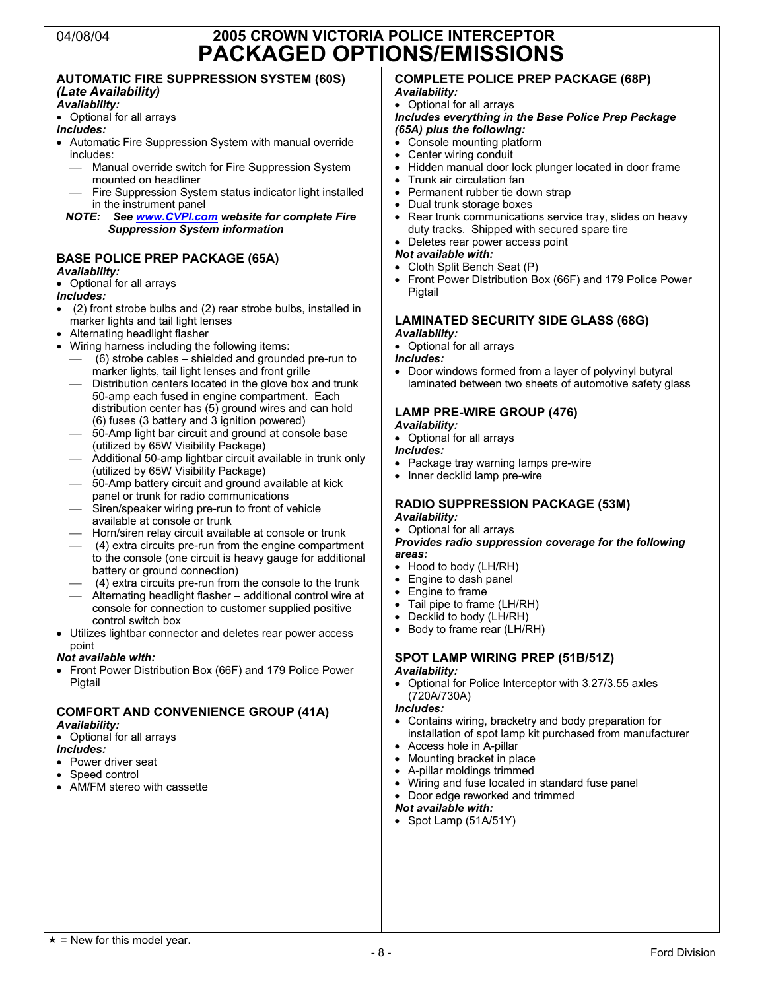### 04/08/04 **2005 CROWN VICTORIA POLICE INTERCEPTOR PACKAGED OPTIONS/EMISSIONS**

#### **AUTOMATIC FIRE SUPPRESSION SYSTEM (60S)** *(Late Availability)*

#### *Availability:*

• Optional for all arrays

#### *Includes:*

- Automatic Fire Suppression System with manual override includes:
	- Manual override switch for Fire Suppression System<br>mounted on headliner
	- Fire Suppression System status indicator light installed in the instrument panel

#### *NOTE: See www.CVPI.com website for complete Fire Suppression System information*

### **BASE POLICE PREP PACKAGE (65A)**

#### *Availability:*

#### • Optional for all arrays

#### *Includes:*

- (2) front strobe bulbs and (2) rear strobe bulbs, installed in marker lights and tail light lenses
- 
- Alternating headlight flasher<br>• Wiring harness including the following items:
	- $(6)$  strobe cables shielded and grounded pre-run to marker lights, tail light lenses and front grille
	- Distribution centers located in the glove box and trunk 50-amp each fused in engine compartment. Each distribution center has (5) ground wires and can hold (6) fuses (3 battery and 3 ignition powered)
	- 50-Amp light bar circuit and ground at console base<br>(utilized by 65W Visibility Package)
	- Additional 50-amp lightbar circuit available in trunk only (utilized by 65W Visibility Package)
	- (utilized by 60-Amp battery circuit and ground available at kick<br>panel or trunk for radio communications
	- Siren/speaker wiring pre-run to front of vehicle<br>available at console or trunk
	- Horn/siren relay circuit available at console or trunk<br>- (4) extra circuits pre-run from the engine compartment
	- to the console (one circuit is heavy gauge for additional battery or ground connection)
	- 4) extra circuits pre-run from the console to the trunk<br>  $-$  Alternating headlight flasher additional control wire at
	- console for connection to customer supplied positive control switch box
- Utilizes lightbar connector and deletes rear power access point

#### *Not available with:*

• Front Power Distribution Box (66F) and 179 Police Power Pigtail

#### **COMFORT AND CONVENIENCE GROUP (41A)** *Availability:*

• Optional for all arrays

#### *Includes:*

- Power driver seat
- Speed control
- AM/FM stereo with cassette

### **COMPLETE POLICE PREP PACKAGE (68P)**

#### *Availability:* • Optional for all arrays

#### *Includes everything in the Base Police Prep Package (65A) plus the following:*

- Console mounting platform
- Center wiring conduit
- Hidden manual door lock plunger located in door frame
- Trunk air circulation fan
- Permanent rubber tie down strap
- Dual trunk storage boxes
- Rear trunk communications service tray, slides on heavy duty tracks. Shipped with secured spare tire
- Deletes rear power access point

#### *Not available with:*

- Cloth Split Bench Seat (P)
- Front Power Distribution Box (66F) and 179 Police Power Pigtail

#### **LAMINATED SECURITY SIDE GLASS (68G)** *Availability:*

• Optional for all arrays

#### *Includes:*

• Door windows formed from a layer of polyvinyl butyral laminated between two sheets of automotive safety glass

### **LAMP PRE-WIRE GROUP (476)**

- *Availability:*
- Optional for all arrays
- *Includes:*
- Package tray warning lamps pre-wire
- Inner decklid lamp pre-wire

#### **RADIO SUPPRESSION PACKAGE (53M)** *Availability:*

#### • Optional for all arrays

*Provides radio suppression coverage for the following areas:*

- Hood to body (LH/RH)
- Engine to dash panel
- Engine to frame
- Tail pipe to frame (LH/RH)
- Decklid to body (LH/RH)
- Body to frame rear (LH/RH)

### **SPOT LAMP WIRING PREP (51B/51Z)**

#### *Availability:*

• Optional for Police Interceptor with 3.27/3.55 axles (720A/730A)

*Includes:*

- Contains wiring, bracketry and body preparation for installation of spot lamp kit purchased from manufacturer
- Access hole in A-pillar
- Mounting bracket in place
- A-pillar moldings trimmed
- Wiring and fuse located in standard fuse panel • Door edge reworked and trimmed

### *Not available with:*

• Spot Lamp (51A/51Y)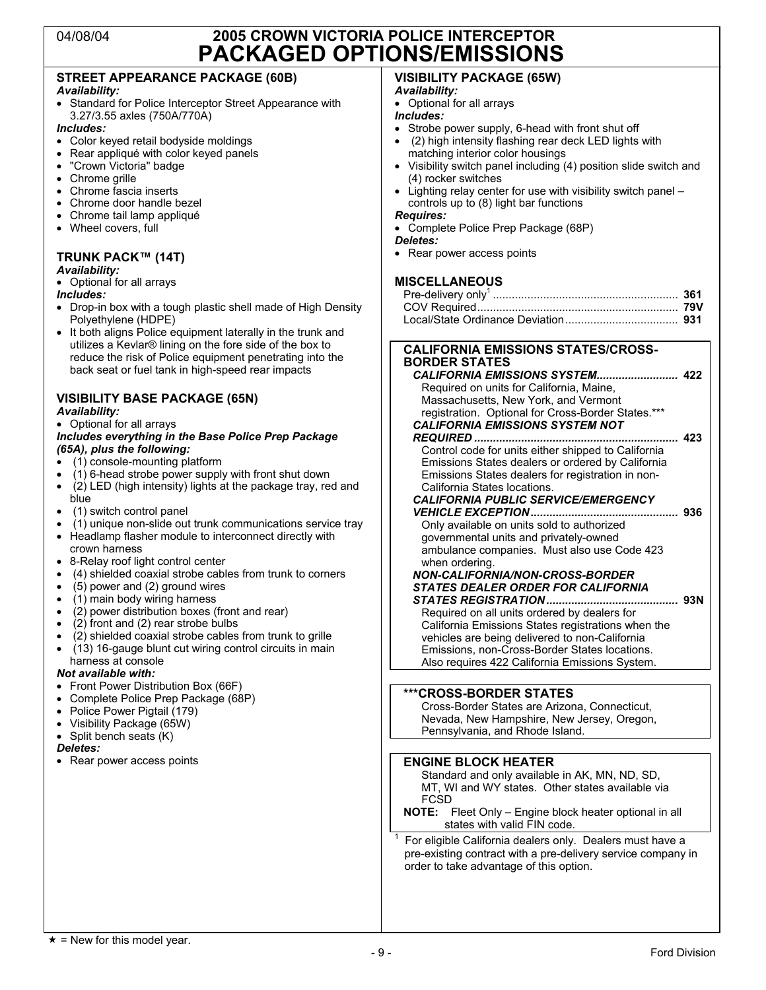### 04/08/04 **2005 CROWN VICTORIA POLICE INTERCEPTOR PACKAGED OPTIONS/EMISSIONS**

### **STREET APPEARANCE PACKAGE (60B)**

#### *Availability:*

• Standard for Police Interceptor Street Appearance with 3.27/3.55 axles (750A/770A)

#### *Includes:*

- Color keyed retail bodyside moldings
- Rear appliqué with color keyed panels<br>• "Crown Victoria" badge
- "Crown Victoria" badge
- Chrome grille<br>• Chrome fascia
- Chrome fascia inserts<br>• Chrome door handle b
- Chrome door handle bezel
- Chrome tail lamp appliqué
- Wheel covers, full

#### **TRUNK PACK™ (14T)** *Availability:*

• Optional for all arrays

#### *Includes:*

- Drop-in box with a tough plastic shell made of High Density Polyethylene (HDPE)
- It both aligns Police equipment laterally in the trunk and utilizes a Kevlar® lining on the fore side of the box to reduce the risk of Police equipment penetrating into the back seat or fuel tank in high-speed rear impacts

#### **VISIBILITY BASE PACKAGE (65N)** *Availability:*

#### • Optional for all arrays

#### *Includes everything in the Base Police Prep Package (65A), plus the following:*

- (1) console-mounting platform
- (1) 6-head strobe power supply with front shut down
- (2) LED (high intensity) lights at the package tray, red and
- blue • (1) switch control panel
- (1) unique non-slide out trunk communications service tray<br>• Headlamn flasher module to interconnect directly with
- Headlamp flasher module to interconnect directly with crown harness
- 8-Relay roof light control center
- (4) shielded coaxial strobe cables from trunk to corners
- (5) power and (2) ground wires
- (1) main body wiring harness
- $\bullet$  (2) power distribution boxes (front and rear)
- (2) front and (2) rear strobe bulbs
- (2) shielded coaxial strobe cables from trunk to grille
- $\bullet$  (13) 16-gauge blunt cut wiring control circuits in main harness at console

#### *Not available with:*

- 
- Front Power Distribution Box (66F)<br>• Complete Police Prep Package (68 • Complete Police Prep Package (68P)
- Police Power Pigtail (179)
- Visibility Package (65W)
- Split bench seats (K)

#### *Deletes:*

• Rear power access points

### **VISIBILITY PACKAGE (65W)**

#### *Availability:*

• Optional for all arrays

- *Includes:* Strobe power supply, 6-head with front shut off
- (2) high intensity flashing rear deck LED lights with matching interior color housings
- Visibility switch panel including (4) position slide switch and (4) rocker switches
- Lighting relay center for use with visibility switch panel controls up to (8) light bar functions

#### *Requires:*

- Complete Police Prep Package (68P)
- *Deletes:*
- Rear power access points

#### **MISCELLANEOUS**

#### **CALIFORNIA EMISSIONS STATES/CROSS-BORDER STATES**

| Required on units for California, Maine,            |     |
|-----------------------------------------------------|-----|
| Massachusetts, New York, and Vermont                |     |
| registration. Optional for Cross-Border States.***  |     |
| <b>CALIFORNIA EMISSIONS SYSTEM NOT</b>              |     |
|                                                     | 423 |
| Control code for units either shipped to California |     |
| Emissions States dealers or ordered by California   |     |
| Emissions States dealers for registration in non-   |     |
| California States locations.                        |     |
| <b>CALIFORNIA PUBLIC SERVICE/EMERGENCY</b>          |     |
|                                                     |     |
| Only available on units sold to authorized          |     |
| governmental units and privately-owned              |     |
| ambulance companies. Must also use Code 423         |     |

ambulance companies. Must also use Code 423 when ordering. *NON-CALIFORNIA/NON-CROSS-BORDER*

# *STATES DEALER ORDER FOR CALIFORNIA*

*STATES REGISTRATION..........................................* **93N** Required on all units ordered by dealers for California Emissions States registrations when the vehicles are being delivered to non-California Emissions, non-Cross-Border States locations. Also requires 422 California Emissions System.

#### **\*\*\*CROSS-BORDER STATES**

Cross-Border States are Arizona, Connecticut, Nevada, New Hampshire, New Jersey, Oregon, Pennsylvania, and Rhode Island.

#### **ENGINE BLOCK HEATER**

Standard and only available in AK, MN, ND, SD, MT, WI and WY states. Other states available via FCSD

**NOTE:** Fleet Only – Engine block heater optional in all states with valid FIN code.

For eligible California dealers only. Dealers must have a pre-existing contract with a pre-delivery service company in order to take advantage of this option.